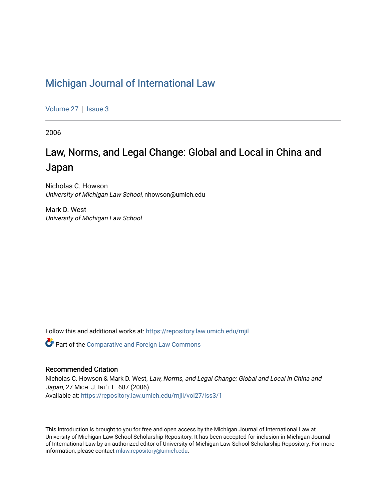## [Michigan Journal of International Law](https://repository.law.umich.edu/mjil)

[Volume 27](https://repository.law.umich.edu/mjil/vol27) | [Issue 3](https://repository.law.umich.edu/mjil/vol27/iss3)

2006

# Law, Norms, and Legal Change: Global and Local in China and Japan

Nicholas C. Howson University of Michigan Law School, nhowson@umich.edu

Mark D. West University of Michigan Law School

Follow this and additional works at: [https://repository.law.umich.edu/mjil](https://repository.law.umich.edu/mjil?utm_source=repository.law.umich.edu%2Fmjil%2Fvol27%2Fiss3%2F1&utm_medium=PDF&utm_campaign=PDFCoverPages) 

**Part of the Comparative and Foreign Law Commons** 

### Recommended Citation

Nicholas C. Howson & Mark D. West, Law, Norms, and Legal Change: Global and Local in China and Japan, 27 MICH. J. INT'L L. 687 (2006). Available at: [https://repository.law.umich.edu/mjil/vol27/iss3/1](https://repository.law.umich.edu/mjil/vol27/iss3/1?utm_source=repository.law.umich.edu%2Fmjil%2Fvol27%2Fiss3%2F1&utm_medium=PDF&utm_campaign=PDFCoverPages) 

This Introduction is brought to you for free and open access by the Michigan Journal of International Law at University of Michigan Law School Scholarship Repository. It has been accepted for inclusion in Michigan Journal of International Law by an authorized editor of University of Michigan Law School Scholarship Repository. For more information, please contact [mlaw.repository@umich.edu](mailto:mlaw.repository@umich.edu).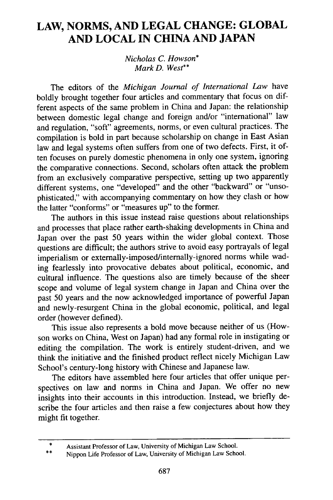### **LAW, NORMS, AND LEGAL CHANGE: GLOBAL AND LOCAL IN CHINA AND JAPAN**

*Nicholas C. Howson\* Mark D. West\*\**

The editors of the *Michigan Journal of International Law* have boldly brought together four articles and commentary that focus on different aspects of the same problem in China and Japan: the relationship between domestic legal change and foreign and/or "international" law and regulation, "soft" agreements, norms, or even cultural practices. The compilation is bold in part because scholarship on change in East Asian law and legal systems often suffers from one of two defects. First, it often focuses on purely domestic phenomena in only one system, ignoring the comparative connections. Second, scholars often attack the problem from an exclusively comparative perspective, setting up two apparently different systems, one "developed" and the other "backward" or "unsophisticated," with accompanying commentary on how they clash or how the latter "conforms" or "measures up" to the former.

The authors in this issue instead raise questions about relationships and processes that place rather earth-shaking developments in China and Japan over the past **50** years within the wider global context. Those questions are difficult; the authors strive to avoid easy portrayals of legal imperialism or externally-imposed/internally-ignored norms while wading fearlessly into provocative debates about political, economic, and cultural influence. The questions also are timely because of the sheer scope and volume of legal system change in Japan and China over the past **50** years and the now acknowledged importance of powerful Japan and newly-resurgent China in the global economic, political, and legal order (however defined).

This issue also represents a bold move because neither of us (Howson works on China, West on Japan) had any formal role in instigating or editing the compilation. The work is entirely student-driven, and we think the initiative and the finished product reflect nicely Michigan Law School's century-long history with Chinese and Japanese law.

The editors have assembled here four articles that offer unique perspectives on law and norms in China and Japan. We offer no new insights into their accounts in this introduction. Instead, we briefly describe the four articles and then raise a few conjectures about how they might fit together.

**<sup>\*</sup>** Assistant Professor of Law, University of Michigan Law School.

**<sup>\*\*</sup>** Nippon Life Professor of Law, University of Michigan Law School.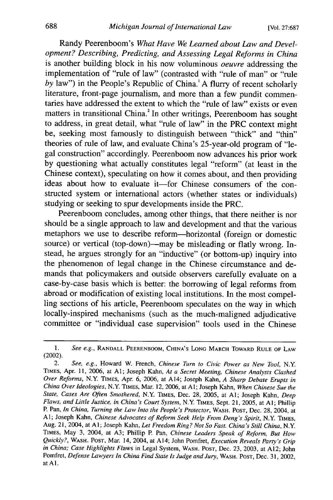Randy Peerenboom's *What Have We Learned about Law and Development? Describing, Predicting, and Assessing Legal Reforms in China* is another building block in his now voluminous *oeuvre* addressing the implementation of "rule of law" (contrasted with "rule of man" or "rule *by* law") in the People's Republic of China.' A flurry of recent scholarly literature, front-page journalism, and more than a few pundit commentaries have addressed the extent to which the "rule of law" exists or even matters in transitional China.<sup>2</sup> In other writings, Peerenboom has sought to address, in great detail, what "rule of law" in the PRC context might be, seeking most famously to distinguish between "thick" and "thin" theories of rule of law, and evaluate China's 25-year-old program of "legal construction" accordingly. Peerenboom now advances his prior work by questioning what actually constitutes legal "reform" (at least in the Chinese context), speculating on how it comes about, and then providing ideas about how to evaluate it-for Chinese consumers of the constructed system or international actors (whether states or individuals) studying or seeking to spur developments inside the PRC.

Peerenboom concludes, among other things, that there neither is nor should be a single approach to law and development and that the various metaphors we use to describe reform-horizontal (foreign or domestic source) or vertical (top-down)—may be misleading or flatly wrong. Instead, he argues strongly for an "inductive" (or bottom-up) inquiry into the phenomenon of legal change in the Chinese circumstance and demands that policymakers and outside observers carefully evaluate on a case-by-case basis which is better: the borrowing of legal reforms from abroad or modification of existing local institutions. In the most compelling sections of his article, Peerenboom speculates on the way in which locally-inspired mechanisms (such as the much-maligned adjudicative committee or "individual case supervision" tools used in the Chinese

*<sup>1.</sup> See e.g.,* RANDALL PEERENBOOM, CHINA'S **LONG** MARCH TOWARD RULE OF **LAW** (2002).

<sup>2.</sup> *See, e.g.,* Howard W. French, *Chinese Turn to Civic Power as New Tool, N.Y* TIMES, Apr. 11, 2006, at **Al;** Joseph Kahn, *At a Secret Meeting, Chinese Analysts Clashed Over Reforms,* N.Y. TIMES, Apr. 6, 2006, at A14; Joseph Kahn, *A Sharp Debate Erupts in China Over Ideologies,* N.Y. **TIMES,** Mar. 12, 2006, at A **1;** Joseph Kahn, *When Chinese Sue the State, Cases Are Often Smothered,* N.Y. TIMES, Dec. 28, 2005, at **Al;** Joseph Kahn, *Deep Flaws, and Little Justice, in China's Court System,* N.Y TIMES, Sept. 21, 2005, at Al; Phillip P. Pan, *In China, Turning the Law Into the People's Protector,* WASH. **POST,** Dec. 28, 2004, at Al; Joseph Kahn, *Chinese Advocates of Reform Seek Help From Deng's Spirit, N.Y.* TIMES, Aug. 21, 2004, at Al; Joseph Kahn, *Let Freedom Ring? Not So Fast. China's Still China,* N.Y. TIMES, May 3, 2004, at **A3;** Phillip P. Pan, *Chinese Leaders Speak of Reform, But How Quickly?,* WASH. **POST,** Mar. 14, 2004, at Al4; John Pomfret, *Execution Reveals Party's Grip in China; Case Highlights Flaws* in Legal System, WASH. **POST,** Dec. 23, 2003, at A12; John Pomfret, *Defense Lawyers In China Find State Is Judge and Jury,* WASH. **POST,** Dec. 31, 2002, at Al.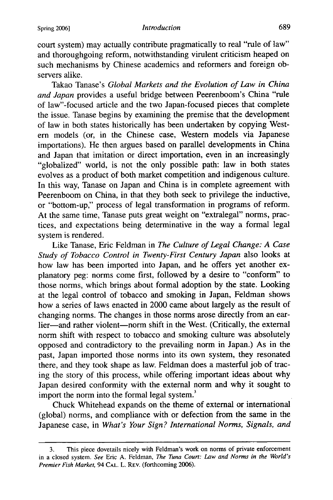#### Spring **2006]** *Introduction*

court system) may actually contribute pragmatically to real "rule of law" and thoroughgoing reform, notwithstanding virulent criticism heaped on such mechanisms by Chinese academics and reformers and foreign observers alike.

Takao Tanase's *Global Markets and the Evolution of Law in China and Japan* provides a useful bridge between Peerenboom's China "rule of law"-focused article and the two Japan-focused pieces that complete the issue. Tanase begins by examining the premise that the development of law in both states historically has been undertaken by copying Western models (or, in the Chinese case, Western models via Japanese importations). He then argues based on parallel developments in China<br>and Japan that imitation or direct importation, even in an increasingly "globalized" world, is not the only possible path: law in both states evolves as a product of both market competition and indigenous culture. In this way, Tanase on Japan and China is in complete agreement with Peerenboom on China, in that they both seek to privilege the inductive, or "bottom-up," process of legal transformation in programs of reform. At the same time, Tanase puts great weight on "extralegal" norms, practices, and expectations being determinative in the way a formal legal system is rendered.

Like Tanase, Eric Feldman in *The Culture of Legal Change: A Case Study of Tobacco Control in Twenty-First Century Japan* also looks at how law has been imported into Japan, and he offers yet another explanatory peg: norms come first, followed by a desire to "conform" to those norms, which brings about formal adoption by the state. Looking at the legal control of tobacco and smoking in Japan, Feldman shows how a series of laws enacted in 2000 came about largely as the result of changing norms. The changes in those norms arose directly from an earlier-and rather violent-norm shift in the West. (Critically, the external norm shift with respect to tobacco and smoking culture was absolutely opposed and contradictory to the prevailing norm in Japan.) As in the past, Japan imported those norms into its own system, they resonated there, and they took shape as law. Feldman does a masterful job of tracing the story of this process, while offering important ideas about why Japan desired conformity with the external norm and why it sought to import the norm into the formal legal system.<sup>3</sup>

Chuck Whitehead expands on the theme of external or international (global) norms, and compliance with or defection from the same in the Japanese case, in *What's Your Sign? International Norms, Signals, and*

<sup>3.</sup> This piece dovetails nicely with Feldman's work on norms of private enforcement in a closed system. *See* Eric A. Feldman, *The Tuna Court: Law and Norms in the World's Premier Fish Market,* 94 **CAL.** L. REV. (forthcoming 2006).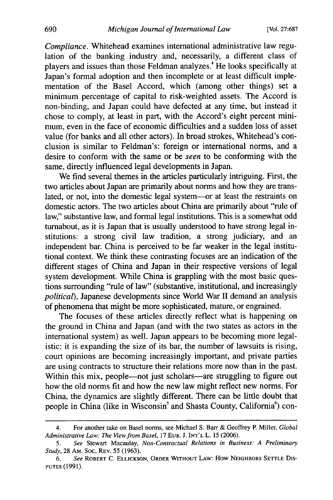[Vol. **27:687**

*Compliance.* Whitehead examines international administrative law regulation of the banking industry and, necessarily, a different class of players and issues than those Feldman analyzes.4 He looks specifically at Japan's formal adoption and then incomplete or at least difficult implementation of the Basel Accord, which (among other things) set a minimum percentage of capital to risk-weighted assets. The Accord is non-binding, and Japan could have defected at any time, but instead it chose to comply, at least in part, with the Accord's eight percent minimum, even in the face of economic difficulties and a sudden loss of asset value (for banks and all other actors). In broad strokes, Whitehead's conclusion is similar to Feldman's: foreign or international norms, and a desire to conform with the same or be *seen* to be conforming with the same, directly influenced legal developments in Japan.

We find several themes in the articles particularly intriguing. First, the two articles about Japan are primarily about norms and how they are translated, or not, into the domestic legal system-or at least the restraints on domestic actors. The two articles about China are primarily about "rule of law," substantive law, and formal legal institutions. This is a somewhat odd turnabout, as it is Japan that is usually understood to have strong legal institutions: a strong civil law tradition, a strong judiciary, and an independent bar. China is perceived to be far weaker in the legal institutional context. We think these contrasting focuses are an indication of the different stages of China and Japan in their respective versions of legal system development. While China is grappling with the most basic questions surrounding "rule of law" (substantive, institutional, and increasingly *political),* Japanese developments since World War II demand an analysis of phenomena that might be more sophisticated, mature, or engrained.

The focuses of these articles directly reflect what is happening on the ground in China and Japan (and with the two states as actors in the international system) as well. Japan appears to be becoming more legalistic: it is expanding the size of its bar, the number of lawsuits is rising, court opinions are becoming increasingly important, and private parties are using contracts to structure their relations more now than in the past. Within this mix, people—not just scholars—are struggling to figure out how the old norms fit and how the new law might reflect new norms. For China, the dynamics are slightly different. There can be little doubt that people in China (like in Wisconsin<sup>5</sup> and Shasta County, California<sup>6</sup>) con-

<sup>4.</sup> For another take on Basel norms, see Michael S. Barr & Geoffrey P. Miller, *Global Administrative Law: The View from Basel,* 17 **EUR.** J. INT'L L. 15 (2006).

<sup>5.</sup> *See* Stewart Macaulay, *Non-Contractual Relations in Business: A Preliminary Study,* 28 AM. Soc. REV. 55 (1963).

<sup>6.</sup> *See* ROBERT C. ELLICKSON, ORDER WITHOUT LAW: How NEIGHBORS SETTLE Dis-**PUTES** (1991).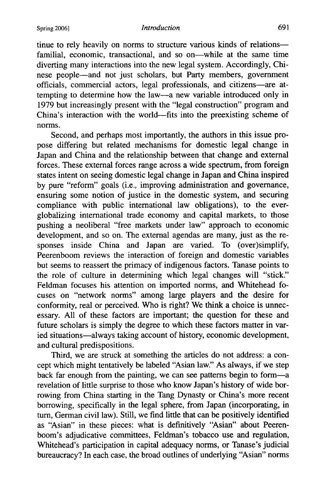tinue to rely heavily on norms to structure various kinds of relationsfamilial, economic, transactional, and so on-while at the same time diverting many interactions into the new legal system. Accordingly, Chinese people-and not just scholars, but Party members, government officials, commercial actors, legal professionals, and citizens-are attempting to determine how the law-a new variable introduced only in 1979 but increasingly present with the "legal construction" program and China's interaction with the world-fits into the preexisting scheme of norms.

Second, and perhaps most importantly, the authors in this issue propose differing but related mechanisms for domestic legal change in Japan and China and the relationship between that change and external forces. These external forces range across a wide spectrum, from foreign states intent on seeing domestic legal change in Japan and China inspired by pure "reform" goals (i.e., improving administration and governance, ensuring some notion of justice in the domestic system, and securing compliance with public international law obligations), to the everglobalizing international trade economy and capital markets, to those pushing a neoliberal "free markets under law" approach to economic development, and so on. The external agendas are many, just as the responses inside China and Japan are varied. To (over)simplify, Peerenboom reviews the interaction of foreign and domestic variables but seems to reassert the primacy of indigenous factors. Tanase points to the role of culture in determining which legal changes will "stick." Feldman focuses his attention on imported norms, and Whitehead focuses on "network norms" among large players and the desire for conformity, real or perceived. Who is right? We think a choice is unnecessary. All of these factors are important; the question for these and future scholars is simply the degree to which these factors matter in varied situations-always taking account of history, economic development, and cultural predispositions.

Third, we are struck at something the articles do not address: a concept which might tentatively be labeled "Asian law." As always, if we step back far enough from the painting, we can see patterns begin to form-a revelation of little surprise to those who know Japan's history of wide borrowing from China starting in the Tang Dynasty or China's more recent borrowing, specifically in the legal sphere, from Japan (incorporating, in turn, German civil law). Still, we find little that can be positively identified as "Asian" in these pieces: what is definitively "Asian" about Peerenboom's adjudicative committees, Feldman's tobacco use and regulation, Whitehead's participation in capital adequacy norms, or Tanase's judicial bureaucracy? In each case, the broad outlines of underlying "Asian" norms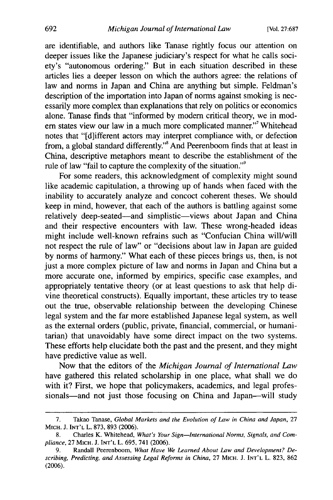are identifiable, and authors like Tanase rightly focus our attention on deeper issues like the Japanese judiciary's respect for what he calls society's "autonomous ordering." But in each situation described in these articles lies a deeper lesson on which the authors agree: the relations of law and norms in Japan and China are anything but simple. Feldman's description of the importation into Japan of norms against smoking is necessarily more complex than explanations that rely on politics or economics alone. Tanase finds that "informed by modem critical theory, we in modern states view our law in a much more complicated manner."<sup>7</sup> Whitehead notes that "[d]ifferent actors may interpret compliance with, or defection from, a global standard differently."8 And Peerenboom finds that at least in China, descriptive metaphors meant to describe the establishment of the rule of law "fail to capture the complexity of the situation."<sup>9</sup>

For some readers, this acknowledgment of complexity might sound like academic capitulation, a throwing up of hands when faced with the inability to accurately analyze and concoct coherent theses. We should keep in mind, however, that each of the authors is battling against some relatively deep-seated-and simplistic-views about Japan and China and their respective encounters with law. These wrong-headed ideas might include well-known refrains such as "Confucian China will/will not respect the rule of law" or "decisions about law in Japan are guided by norms of harmony." What each of these pieces brings us, then, is not just a more complex picture of law and norms in Japan and China but a more accurate one, informed by empirics, specific case examples, and appropriately tentative theory (or at least questions to ask that help divine theoretical constructs). Equally important, these articles try to tease out the true, observable relationship between the developing Chinese legal system and the far more established Japanese legal system, as well as the external orders (public, private, financial, commercial, or humanitarian) that unavoidably have some direct impact on the two systems. These efforts help elucidate both the past and the present, and they might have predictive value as well.

Now that the editors of the *Michigan Journal of International Law* have gathered this related scholarship in one place, what shall we do with it? First, we hope that policymakers, academics, and legal professionals-and not just those focusing on China and Japan-will study

<sup>7.</sup> Takao Tanase, Global Markets and *the Evolution of Law in China and Japan,* 27 MICH. J. **INT'L** L. 873, **893** (2006).

<sup>8.</sup> Charles K. Whitehead, *What's Your Sign-International Norms, Signals, and Compliance,* 27 MICH. J. **INT'L** L. 695, 741 (2006).

<sup>9.</sup> Randall Peerenboom, *What Have We Learned About Law and Development? Describing, Predicting, and Assessing Legal Reforms in China,* 27 MICH. J. **INT'L** L. 823, 862 (2006).